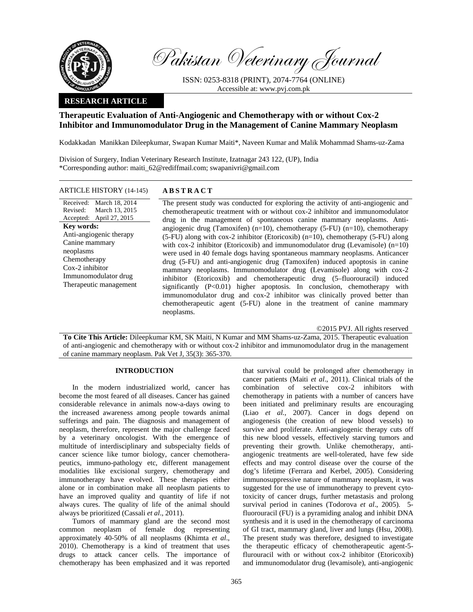

Pakistan Veterinary Journal

ISSN: 0253-8318 (PRINT), 2074-7764 (ONLINE) Accessible at: www.pvj.com.pk

## **RESEARCH ARTICLE**

# **Therapeutic Evaluation of Anti-Angiogenic and Chemotherapy with or without Cox-2 Inhibitor and Immunomodulator Drug in the Management of Canine Mammary Neoplasm**

Kodakkadan Manikkan Dileepkumar, Swapan Kumar Maiti\*, Naveen Kumar and Malik Mohammad Shams-uz-Zama

Division of Surgery, Indian Veterinary Research Institute, Izatnagar 243 122, (UP), India \*Corresponding author: maiti\_62@rediffmail.com; swapanivri@gmail.com

## ARTICLE HISTORY (14-145) **ABSTRACT**

Received: March 18, 2014 Revised: Accepted: March 13, 2015 April 27, 2015 **Key words:**  Anti-angiogenic therapy Canine mammary neoplasms Chemotherapy Cox-2 inhibitor Immunomodulator drug Therapeutic management  The present study was conducted for exploring the activity of anti-angiogenic and chemotherapeutic treatment with or without cox-2 inhibitor and immunomodulator drug in the management of spontaneous canine mammary neoplasms. Antiangiogenic drug (Tamoxifen) (n=10), chemotherapy (5-FU) (n=10), chemotherapy  $(5-FU)$  along with cox-2 inhibitor (Etoricoxib) (n=10), chemotherapy (5-FU) along with cox-2 inhibitor (Etoricoxib) and immunomodulator drug (Levamisole) (n=10) were used in 40 female dogs having spontaneous mammary neoplasms. Anticancer drug (5-FU) and anti-angiogenic drug (Tamoxifen) induced apoptosis in canine mammary neoplasms. Immunomodulator drug (Levamisole) along with cox-2 inhibitor (Etoricoxib) and chemotherapeutic drug (5–fluorouracil) induced significantly (P<0.01) higher apoptosis. In conclusion, chemotherapy with immunomodulator drug and cox-2 inhibitor was clinically proved better than chemotherapeutic agent (5-FU) alone in the treatment of canine mammary neoplasms.

©2015 PVJ. All rights reserved

**To Cite This Article:** Dileepkumar KM, SK Maiti, N Kumar and MM Shams-uz-Zama, 2015. Therapeutic evaluation of anti-angiogenic and chemotherapy with or without cox-2 inhibitor and immunomodulator drug in the management of canine mammary neoplasm. Pak Vet J, 35(3): 365-370.

### **INTRODUCTION**

In the modern industrialized world, cancer has become the most feared of all diseases. Cancer has gained considerable relevance in animals now-a-days owing to the increased awareness among people towards animal sufferings and pain. The diagnosis and management of neoplasm, therefore, represent the major challenge faced by a veterinary oncologist. With the emergence of multitude of interdisciplinary and subspecialty fields of cancer science like tumor biology, cancer chemotherapeutics, immuno-pathology etc, different management modalities like excisional surgery, chemotherapy and immunotherapy have evolved. These therapies either alone or in combination make all neoplasm patients to have an improved quality and quantity of life if not always cures. The quality of life of the animal should always be prioritized (Cassali *et al*., 2011).

Tumors of mammary gland are the second most common neoplasm of female dog representing approximately 40-50% of all neoplasms (Khimta *et al*., 2010). Chemotherapy is a kind of treatment that uses drugs to attack cancer cells. The importance of chemotherapy has been emphasized and it was reported

that survival could be prolonged after chemotherapy in cancer patients (Maiti *et al*., 2011). Clinical trials of the combination of selective cox-2 inhibitors with chemotherapy in patients with a number of cancers have been initiated and preliminary results are encouraging (Liao *et al.,* 2007). Cancer in dogs depend on angiogenesis (the creation of new blood vessels) to survive and proliferate. Anti-angiogenic therapy cuts off this new blood vessels, effectively starving tumors and preventing their growth. Unlike chemotherapy, antiangiogenic treatments are well-tolerated, have few side effects and may control disease over the course of the dog's lifetime (Ferrara and Kerbel, 2005). Considering immunosuppressive nature of mammary neoplasm, it was suggested for the use of immunotherapy to prevent cytotoxicity of cancer drugs, further metastasis and prolong survival period in canines (Todorova *et al*., 2005). 5 fluorouracil (FU) is a pyramiding analog and inhibit DNA synthesis and it is used in the chemotherapy of carcinoma of GI tract, mammary gland, liver and lungs (Hsu, 2008). The present study was therefore, designed to investigate the therapeutic efficacy of chemotherapeutic agent-5 flurouracil with or without cox-2 inhibitor (Etoricoxib) and immunomodulator drug (levamisole), anti-angiogenic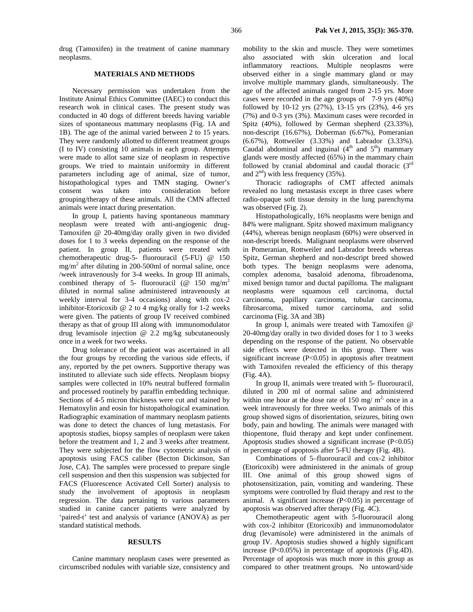drug (Tamoxifen) in the treatment of canine mammary neoplasms.

### **MATERIALS AND METHODS**

Necessary permission was undertaken from the Institute Animal Ethics Committee (IAEC) to conduct this research wok in clinical cases. The present study was conducted in 40 dogs of different breeds having variable sizes of spontaneous mammary neoplasms (Fig. 1A and 1B). The age of the animal varied between 2 to 15 years. They were randomly allotted to different treatment groups (I to IV) consisting 10 animals in each group. Attempts were made to allot same size of neoplasm in respective groups. We tried to maintain uniformity in different parameters including age of animal, size of tumor, histopathological types and TMN staging. Owner's consent was taken into consideration before grouping/therapy of these animals. All the CMN affected animals were intact during presentation.

In group I, patients having spontaneous mammary neoplasm were treated with anti-angiogenic drug-Tamoxifen @ 20-40mg/day orally given in two divided doses for 1 to 3 weeks depending on the response of the patient. In group II, patients were treated with chemotherapeutic drug-5- fluorouracil (5-FU) @ 150 mg/m2 after diluting in 200-500ml of normal saline, once /week intravenously for 3-4 weeks. In group III animals, combined therapy of 5- fluorouracil ( $@$  150 mg/m<sup>2</sup> diluted in normal saline administered intravenously at weekly interval for 3-4 occasions) along with cox-2 inhibitor-Etoricoxib  $\omega$  2 to 4 mg/kg orally for 1-2 weeks were given. The patients of group IV received combined therapy as that of group III along with immunomodulator drug levamisole injection @ 2.2 mg/kg subcutaneously once in a week for two weeks.

Drug tolerance of the patient was ascertained in all the four groups by recording the various side effects, if any, reported by the pet owners. Supportive therapy was instituted to alleviate such side effects. Neoplasm biopsy samples were collected in 10% neutral buffered formalin and processed routinely by paraffin embedding technique. Sections of 4-5 micron thickness were cut and stained by Hematoxylin and eosin for histopathological examination. Radiographic examination of mammary neoplasm patients was done to detect the chances of lung metastasis. For apoptosis studies, biopsy samples of neoplasm were taken before the treatment and 1, 2 and 3 weeks after treatment. They were subjected for the flow cytometric analysis of apoptosis using FACS caliber (Becton Dickinson, San Jose, CA). The samples were processed to prepare single cell suspension and then this suspension was subjected for FACS (Fluorescence Activated Cell Sorter) analysis to study the involvement of apoptosis in neoplasm regression. The data pertaining to various parameters studied in canine cancer patients were analyzed by 'paired-t' test and analysis of variance (ANOVA) as per standard statistical methods.

#### **RESULTS**

Canine mammary neoplasm cases were presented as circumscribed nodules with variable size, consistency and mobility to the skin and muscle. They were sometimes also associated with skin ulceration and local inflammatory reactions. Multiple neoplasms were observed either in a single mammary gland or may involve multiple mammary glands, simultaneously. The age of the affected animals ranged from 2-15 yrs. More cases were recorded in the age groups of 7-9 yrs (40%) followed by 10-12 yrs (27%), 13-15 yrs (23%), 4-6 yrs (7%) and 0-3 yrs (3%). Maximum cases were recorded in Spitz (40%), followed by German shepherd (23.33%), non-descript (16.67%), Doberman (6.67%), Pomeranian (6.67%), Rottweiler (3.33%) and Labrador (3.33%). Caudal abdominal and inguinal  $(4<sup>th</sup>$  and  $5<sup>th</sup>)$  mammary glands were mostly affected (65%) in the mammary chain followed by cranial abdominal and caudal thoracic  $(3<sup>rd</sup>$ and  $2<sup>nd</sup>$ ) with less frequency (35%).

Thoracic radiographs of CMT affected animals revealed no lung metastasis except in three cases where radio-opaque soft tissue density in the lung parenchyma was observed (Fig. 2).

Histopathologically, 16% neoplasms were benign and 84% were malignant. Spitz showed maximum malignancy (44%), whereas benign neoplasm (60%) were observed in non-descript breeds. Malignant neoplasms were observed in Pomeranian, Rottweiler and Labrador breeds whereas Spitz, German shepherd and non-descript breed showed both types. The benign neoplasms were adenoma, complex adenoma, basaloid adenoma, fibroadenoma, mixed benign tumor and ductal papilloma. The malignant neoplasms were squamous cell carcinoma, ductal carcinoma, papillary carcinoma, tubular carcinoma, fibrosarcoma, mixed tumor carcinoma, and solid carcinoma (Fig. 3A and 3B)

In group I, animals were treated with Tamoxifen @ 20-40mg/day orally in two divided doses for 1 to 3 weeks depending on the response of the patient. No observable side effects were detected in this group. There was significant increase  $(P<0.05)$  in apoptosis after treatment with Tamoxifen revealed the efficiency of this therapy (Fig. 4A).

In group II, animals were treated with 5- fluorouracil, diluted in 200 ml of normal saline and administered within one hour at the dose rate of 150 mg/  $m^2$  once in a week intravenously for three weeks. Two animals of this group showed signs of disorientation, seizures, biting own body, pain and howling. The animals were managed with thiopentone, fluid therapy and kept under confinement. Apoptosis studies showed a significant increase  $(P<0.05)$ in percentage of apoptosis after 5-FU therapy (Fig. 4B).

Combinations of 5–fluorouracil and cox-2 inhibitor (Etoricoxib) were administered in the animals of group III. One animal of this group showed signs of photosensitization, pain, vomiting and wandering. These symptoms were controlled by fluid therapy and rest to the animal. A significant increase  $(P<0.05)$  in percentage of apoptosis was observed after therapy (Fig. 4C).

Chemotherapeutic agent with 5-fluorouracil along with cox-2 inhibitor (Etoricoxib) and immunomodulator drug (levamisole) were administered in the animals of group IV. Apoptosis studies showed a highly significant increase  $(P<0.05\%)$  in percentage of apoptosis (Fig.4D). Percentage of apoptosis was much more in this group as compared to other treatment groups. No untoward/side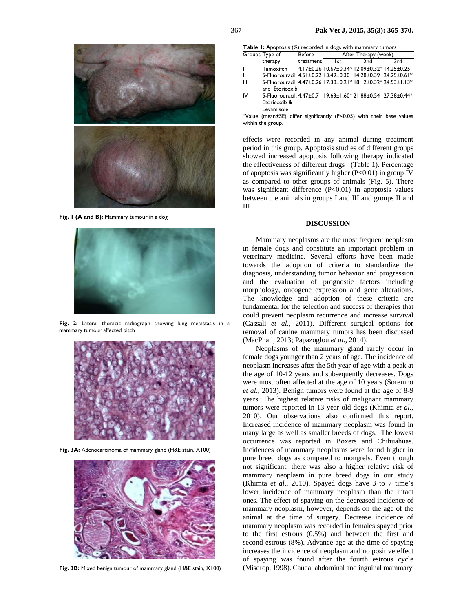

Fig. 1 (A and B): Mammary tumour in a dog



**Fig. 2:** Lateral thoracic radiograph showing lung metastasis in a mammary tumour affected bitch



**Fig. 3A:** Adenocarcinoma of mammary gland (H&E stain, X100)



**Fig. 3B:** Mixed benign tumour of mammary gland (H&E stain, X100)

**Table 1:** Apoptosis (%) recorded in dogs with mammary tumors

| Before<br>Groups Type of |                                                                                            |           | After Therapy (week)                         |     |     |
|--------------------------|--------------------------------------------------------------------------------------------|-----------|----------------------------------------------|-----|-----|
|                          | therapy                                                                                    | treatment | lst.                                         | 2nd | 3rd |
|                          | Tamoxifen                                                                                  |           | 4.17±0.26 10.67±0.34* 12.09±0.32* 14.25±0.25 |     |     |
| Ш                        | 5-Fluorouracil 4.51±0.22 13.49±0.30 14.28±0.39 24.25±0.61*                                 |           |                                              |     |     |
| Ш                        | 5-Fluorouracil 4.47±0.26 17.38±0.21* 18.12±0.32* 24.53±1.13*<br>and Etoricoxib             |           |                                              |     |     |
| IV                       | 5-Fluorouracil, 4.47±0.71 19.63±1.60* 21.88±0.54 27.38±0.44*<br>Etoricoxib &<br>Levamisole |           |                                              |     |     |

\*Value (mean±SE) differ significantly (P<0.05) with their base values within the group.

effects were recorded in any animal during treatment period in this group. Apoptosis studies of different groups showed increased apoptosis following therapy indicated the effectiveness of different drugs (Table 1). Percentage of apoptosis was significantly higher  $(P<0.01)$  in group IV as compared to other groups of animals (Fig. 5). There was significant difference (P<0.01) in apoptosis values between the animals in groups I and III and groups II and III.

### **DISCUSSION**

Mammary neoplasms are the most frequent neoplasm in female dogs and constitute an important problem in veterinary medicine. Several efforts have been made towards the adoption of criteria to standardize the diagnosis, understanding tumor behavior and progression and the evaluation of prognostic factors including morphology, oncogene expression and gene alterations. The knowledge and adoption of these criteria are fundamental for the selection and success of therapies that could prevent neoplasm recurrence and increase survival (Cassali *et al*., 2011). Different surgical options for removal of canine mammary tumors has been discussed (MacPhail, 2013; Papazoglou *et al*., 2014).

Neoplasms of the mammary gland rarely occur in female dogs younger than 2 years of age. The incidence of neoplasm increases after the 5th year of age with a peak at the age of 10-12 years and subsequently decreases. Dogs were most often affected at the age of 10 years (Soremno *et al*., 2013). Benign tumors were found at the age of 8-9 years. The highest relative risks of malignant mammary tumors were reported in 13-year old dogs (Khimta *et al.,*  2010). Our observations also confirmed this report. Increased incidence of mammary neoplasm was found in many large as well as smaller breeds of dogs. The lowest occurrence was reported in Boxers and Chihuahuas. Incidences of mammary neoplasms were found higher in pure breed dogs as compared to mongrels. Even though not significant, there was also a higher relative risk of mammary neoplasm in pure breed dogs in our study (Khimta *et al*., 2010). Spayed dogs have 3 to 7 time's lower incidence of mammary neoplasm than the intact ones. The effect of spaying on the decreased incidence of mammary neoplasm, however, depends on the age of the animal at the time of surgery. Decrease incidence of mammary neoplasm was recorded in females spayed prior to the first estrous (0.5%) and between the first and second estrous (8%). Advance age at the time of spaying increases the incidence of neoplasm and no positive effect of spaying was found after the fourth estrous cycle (Misdrop, 1998). Caudal abdominal and inguinal mammary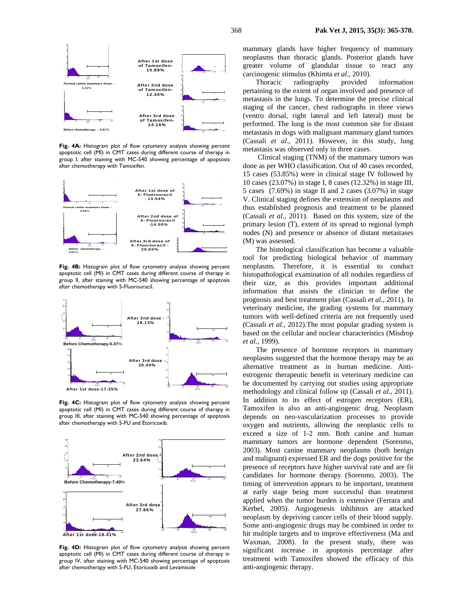

Fig. 4A: Histogram plot of flow cytometry analysis showing percent apoptotic cell (MI) in CMT cases during different course of therapy in group I, after staining with MC-540 showing percentage of apoptosis after chemotherapy with Tamoxifen.



**Fig. 4B:** Histogram plot of flow cytometry analysis showing percent apoptotic cell (MI) in CMT cases during different course of therapy in group II, after staining with MC-540 showing percentage of apoptosis after chemotherapy with 5-Fluorouracil.



Fig. 4C: Histogram plot of flow cytometry analysis showing percent apoptotic cell (MI) in CMT cases during different course of therapy in group III, after staining with MC-540 showing percentage of apoptosis after chemotherapy with 5-FU and Etoricoxib.



Fig. 4D: Histogram plot of flow cytometry analysis showing percent apoptotic cell (MI) in CMT cases during different course of therapy in group IV, after staining with MC-540 showing percentage of apoptosis after chemotherapy with 5-FU, Etoricoxib and Levamisole

mammary glands have higher frequency of mammary neoplasms than thoracic glands. Posterior glands have greater volume of glandular tissue to react any carcinogenic stimulus (Khimta *et al*., 2010).

Thoracic radiography provided information pertaining to the extent of organ involved and presence of metastasis in the lungs. To determine the precise clinical staging of the cancer, chest radiographs in three views (ventro dorsal, right lateral and left lateral) must be performed. The lung is the most common site for distant metastasis in dogs with malignant mammary gland tumors (Cassali *et al*., 2011). However, in this study, lung metastasis was observed only in three cases.

 Clinical staging (TNM) of the mammary tumors was done as per WHO classification. Out of 40 cases recorded, 15 cases (53.85%) were in clinical stage IV followed by 10 cases (23.07%) in stage I, 8 cases (12.32%) in stage III, 5 cases (7.69%) in stage II and 2 cases (3.07%) in stage V. Clinical staging defines the extension of neoplasms and thus established prognosis and treatment to be planned (Cassali *et al*., 2011). Based on this system, size of the primary lesion (T), extent of its spread to regional lymph nodes (N) and presence or absence of distant metastases (M) was assessed.

The histological classification has become a valuable tool for predicting biological behavior of mammary neoplasms. Therefore, it is essential to conduct histopathological examination of all nodules regardless of their size, as this provides important additional information that assists the clinician to define the prognosis and best treatment plan (Cassali *et al*., 2011). In veterinary medicine, the grading systems for mammary tumors with well-defined criteria are not frequently used (Cassali *et al*., 2012).The most popular grading system is based on the cellular and nuclear characteristics (Misdrop *et al*., 1999).

The presence of hormone receptors in mammary neoplasms suggested that the hormone therapy may be an alternative treatment as in human medicine. Antiestrogenic therapeutic benefit in veterinary medicine can be documented by carrying out studies using appropriate methodology and clinical follow up (Cassali *et al*., 2011). In addition to its effect of estrogen receptors (ER), Tamoxifen is also an anti-angiogenic drug. Neoplasm depends on neo-vascularization processes to provide oxygen and nutrients, allowing the neoplastic cells to exceed a size of 1-2 mm. Both canine and human mammary tumors are hormone dependent (Sorenmo, 2003). Most canine mammary neoplasms (both benign and malignant) expressed ER and the dogs positive for the presence of receptors have higher survival rate and are fit candidates for hormone therapy (Sorenmo, 2003). The timing of intervention appears to be important, treatment at early stage being more successful than treatment applied when the tumor burden is extensive (Ferrara and Kerbel, 2005). Angiogenesis inhibitors are attacked neoplasm by depriving cancer cells of their blood supply. Some anti-angiogenic drugs may be combined in order to hit multiple targets and to improve effectiveness (Ma and Waxman, 2008). In the present study, there was significant increase in apoptosis percentage after treatment with Tamoxifen showed the efficacy of this anti-angiogenic therapy.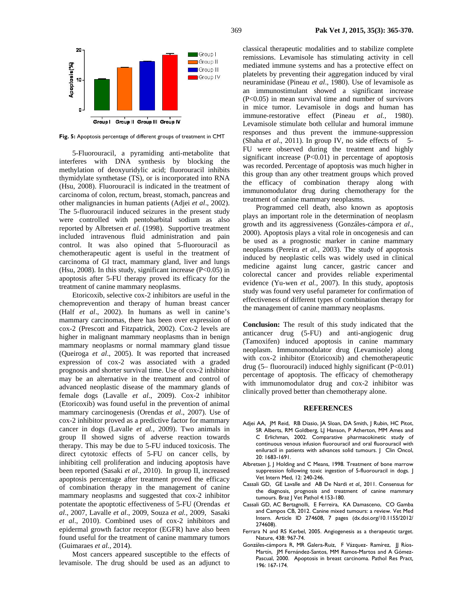

**Fig. 5:** Apoptosis percentage of different groups of treatment in CMT

5-Fluorouracil, a pyramiding anti-metabolite that interferes with DNA synthesis by blocking the methylation of deoxyuridylic acid; fluorouracil inhibits thymidylate synthetase (TS), or is incorporated into RNA (Hsu, 2008). Fluorouracil is indicated in the treatment of carcinoma of colon, rectum, breast, stomach, pancreas and other malignancies in human patients (Adjei *et al*., 2002). The 5-fluorouracil induced seizures in the present study were controlled with pentobarbital sodium as also reported by Albretsen *et al*. (1998). Supportive treatment included intravenous fluid administration and pain control. It was also opined that 5-fluorouracil as chemotherapeutic agent is useful in the treatment of carcinoma of GI tract, mammary gland, liver and lungs (Hsu, 2008). In this study, significant increase (P<0.05) in apoptosis after 5-FU therapy proved its efficacy for the treatment of canine mammary neoplasms.

Etoricoxib, selective cox-2 inhibitors are useful in the chemoprevention and therapy of human breast cancer (Half *et al*., 2002). In humans as well in canine's mammary carcinomas, there has been over expression of cox-2 (Prescott and Fitzpatrick, 2002). Cox-2 levels are higher in malignant mammary neoplasms than in benign mammary neoplasms or normal mammary gland tissue (Queiroga *et al*., 2005). It was reported that increased expression of cox-2 was associated with a graded prognosis and shorter survival time. Use of cox-2 inhibitor may be an alternative in the treatment and control of advanced neoplastic disease of the mammary glands of female dogs (Lavalle *et al*., 2009). Cox-2 inhibitor (Etoricoxib) was found useful in the prevention of animal mammary carcinogenesis (Orendas *et al*., 2007). Use of cox-2 inhibitor proved as a predictive factor for mammary cancer in dogs (Lavalle *et al.,* 2009). Two animals in group II showed signs of adverse reaction towards therapy. This may be due to 5-FU induced toxicosis. The direct cytotoxic effects of 5-FU on cancer cells, by inhibiting cell proliferation and inducing apoptosis have been reported (Sasaki *et al*., 2010). In group II, increased apoptosis percentage after treatment proved the efficacy of combination therapy in the management of canine mammary neoplasms and suggested that cox-2 inhibitor potentate the apoptotic effectiveness of 5-FU (Orendas *et al*., 2007, Lavalle *et al*., 2009, Souza *et al.,* 2009, Sasaki *et al*., 2010). Combined uses of cox-2 inhibitors and epidermal growth factor receptor (EGFR) have also been found useful for the treatment of canine mammary tumors (Guimaraes *et al.,* 2014).

Most cancers appeared susceptible to the effects of levamisole. The drug should be used as an adjunct to

classical therapeutic modalities and to stabilize complete remissions. Levamisole has stimulating activity in cell mediated immune systems and has a protective effect on platelets by preventing their aggregation induced by viral neuraminidase (Pineau *et al*., 1980). Use of levamisole as an immunostimulant showed a significant increase (P<0.05) in mean survival time and number of survivors in mice tumor. Levamisole in dogs and human has immune-restorative effect (Pineau *et al.,* 1980). Levamisole stimulate both cellular and humoral immune responses and thus prevent the immune-suppression (Shaha *et al.*, 2011). In group IV, no side effects of 5-FU were observed during the treatment and highly significant increase  $(P<0.01)$  in percentage of apoptosis was recorded. Percentage of apoptosis was much higher in this group than any other treatment groups which proved the efficacy of combination therapy along with immunomodulator drug during chemotherapy for the treatment of canine mammary neoplasms.

Programmed cell death, also known as apoptosis plays an important role in the determination of neoplasm growth and its aggressiveness (Gonzáles-cámpora *et al*., 2000). Apoptosis plays a vital role in oncogenesis and can be used as a prognostic marker in canine mammary neoplasms (Pereira *et al.,* 2003). The study of apoptosis induced by neoplastic cells was widely used in clinical medicine against lung cancer, gastric cancer and colorectal cancer and provides reliable experimental evidence (Yu-wen *et al.,* 2007). In this study, apoptosis study was found very useful parameter for confirmation of effectiveness of different types of combination therapy for the management of canine mammary neoplasms.

**Conclusion:** The result of this study indicated that the anticancer drug (5-FU) and anti-angiogenic drug (Tamoxifen) induced apoptosis in canine mammary neoplasm. Immunomodulator drug (Levamisole) along with cox-2 inhibitor (Etoricoxib) and chemotherapeutic drug (5– fluorouracil) induced highly significant  $(P<0.01)$ percentage of apoptosis. The efficacy of chemotherapy with immunomodulator drug and cox-2 inhibitor was clinically proved better than chemotherapy alone.

#### **REFERENCES**

- Adjei AA, JM Reid, RB Diasio, JA Sloan, DA Smith, J Rubin, HC Pitot, SR Alberts, RM Goldberg, LJ Hanson, P Atherton, MM Ames and C Erlichman, 2002. Comparative pharmacokinetic study of continuous venous infusion fluorouracil and oral fluorouracil with eniluracil in patients with advances solid tumours. J Clin Oncol, 20: 1683-1691.
- Albretsen J, J Holding and C Means, 1998. Treatment of bone marrow suppression following toxic ingestion of 5-fluorouracil in dogs. J Vet Intern Med, 12: 240-246.
- Cassali GD, GE Lavalle and AB De Nardi *et al.,* 2011. Consensus for the diagnosis, prognosis and treatment of canine mammary tumours. Braz J Vet Pathol 4:153-180.
- Cassali GD, AC Bertagnolli, E Ferreira, KA Damasceno, CO Gamba and Campos CB, 2012. Canine mixed tumours: a review. Vet Med Intern. Article ID 274608, 7 pages (dx.doi.org/10.1155/2012/ 274608).
- Ferrara N and RS Kerbel, 2005. Angiogenesis as a therapeutic target. Nature, 438: 967-74.
- Gonzáles-cámpora R, MR Galera-Ruiz, F Vázquez- Ramírez, JJ Ríos-Martín, JM Fernández-Santos, MM Ramos-Martos and A Gómez-Pascual, 2000. Apoptosis in breast carcinoma. Pathol Res Pract*,* 196: 167-174.